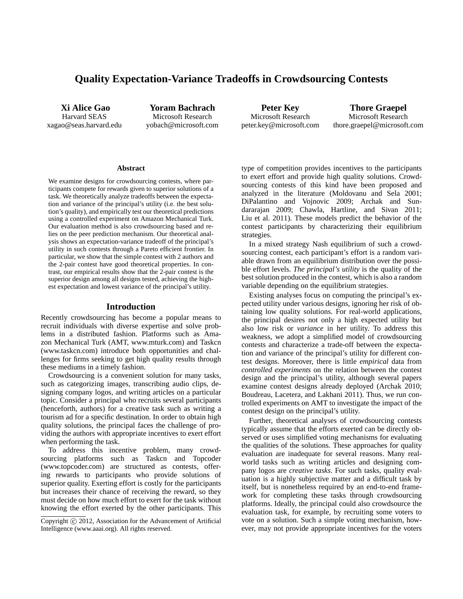# **Quality Expectation-Variance Tradeoffs in Crowdsourcing Contests**

**Xi Alice Gao** Harvard SEAS xagao@seas.harvard.edu

**Yoram Bachrach** Microsoft Research yobach@microsoft.com

**Peter Key** Microsoft Research peter.key@microsoft.com

**Thore Graepel** Microsoft Research thore.graepel@microsoft.com

#### **Abstract**

We examine designs for crowdsourcing contests, where participants compete for rewards given to superior solutions of a task. We theoretically analyze tradeoffs between the expectation and variance of the principal's utility (i.e. the best solution's quality), and empirically test our theoretical predictions using a controlled experiment on Amazon Mechanical Turk. Our evaluation method is also crowdsourcing based and relies on the peer prediction mechanism. Our theoretical analysis shows an expectation-variance tradeoff of the principal's utility in such contests through a Pareto efficient frontier. In particular, we show that the simple contest with 2 authors and the 2-pair contest have good theoretical properties. In contrast, our empirical results show that the 2-pair contest is the superior design among all designs tested, achieving the highest expectation and lowest variance of the principal's utility.

#### **Introduction**

Recently crowdsourcing has become a popular means to recruit individuals with diverse expertise and solve problems in a distributed fashion. Platforms such as Amazon Mechanical Turk (AMT, www.mturk.com) and Taskcn (www.taskcn.com) introduce both opportunities and challenges for firms seeking to get high quality results through these mediums in a timely fashion.

Crowdsourcing is a convenient solution for many tasks, such as categorizing images, transcribing audio clips, designing company logos, and writing articles on a particular topic. Consider a principal who recruits several participants (henceforth, authors) for a creative task such as writing a tourism ad for a specific destination. In order to obtain high quality solutions, the principal faces the challenge of providing the authors with appropriate incentives to exert effort when performing the task.

To address this incentive problem, many crowdsourcing platforms such as Taskcn and Topcoder (www.topcoder.com) are structured as contests, offering rewards to participants who provide solutions of superior quality. Exerting effort is costly for the participants but increases their chance of receiving the reward, so they must decide on how much effort to exert for the task without knowing the effort exerted by the other participants. This type of competition provides incentives to the participants to exert effort and provide high quality solutions. Crowdsourcing contests of this kind have been proposed and analyzed in the literature (Moldovanu and Sela 2001; DiPalantino and Vojnovic 2009; Archak and Sundararajan 2009; Chawla, Hartline, and Sivan 2011; Liu et al. 2011). These models predict the behavior of the contest participants by characterizing their equilibrium strategies.

In a mixed strategy Nash equilibrium of such a crowdsourcing contest, each participant's effort is a random variable drawn from an equilibrium distribution over the possible effort levels. *The principal's utility* is the quality of the best solution produced in the contest, which is also a random variable depending on the equilibrium strategies.

Existing analyses focus on computing the principal's expected utility under various designs, ignoring her risk of obtaining low quality solutions. For real-world applications, the principal desires not only a high expected utility but also low risk or *variance* in her utility. To address this weakness, we adopt a simplified model of crowdsourcing contests and characterize a trade-off between the expectation and variance of the principal's utility for different contest designs. Moreover, there is little *empirical* data from *controlled experiments* on the relation between the contest design and the principal's utility, although several papers examine contest designs already deployed (Archak 2010; Boudreau, Lacetera, and Lakhani 2011). Thus, we run controlled experiments on AMT to investigate the impact of the contest design on the principal's utility.

Further, theoretical analyses of crowdsourcing contests typically assume that the efforts exerted can be directly observed or uses simplified voting mechanisms for evaluating the qualities of the solutions. These approaches for quality evaluation are inadequate for several reasons. Many realworld tasks such as writing articles and designing company logos are *creative tasks*. For such tasks, quality evaluation is a highly subjective matter and a difficult task by itself, but is nonetheless required by an end-to-end framework for completing these tasks through crowdsourcing platforms. Ideally, the principal could also crowdsource the evaluation task, for example, by recruiting some voters to vote on a solution. Such a simple voting mechanism, however, may not provide appropriate incentives for the voters

Copyright (c) 2012, Association for the Advancement of Artificial Intelligence (www.aaai.org). All rights reserved.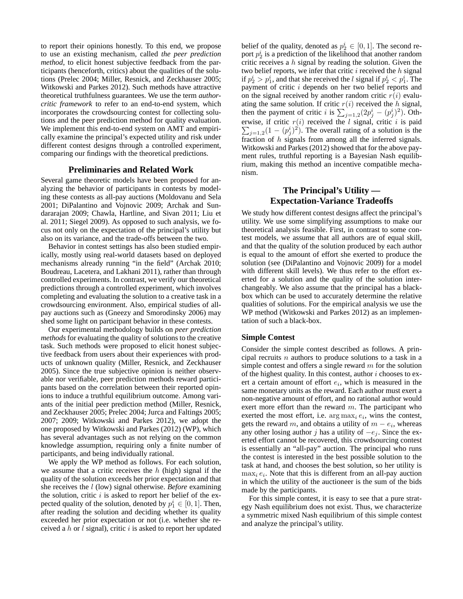to report their opinions honestly. To this end, we propose to use an existing mechanism, called *the peer prediction method*, to elicit honest subjective feedback from the participants (henceforth, critics) about the qualities of the solutions (Prelec 2004; Miller, Resnick, and Zeckhauser 2005; Witkowski and Parkes 2012). Such methods have attractive theoretical truthfulness guarantees. We use the term *authorcritic framework* to refer to an end-to-end system, which incorporates the crowdsourcing contest for collecting solutions and the peer prediction method for quality evaluation. We implement this end-to-end system on AMT and empirically examine the principal's expected utility and risk under different contest designs through a controlled experiment, comparing our findings with the theoretical predictions.

### **Preliminaries and Related Work**

Several game theoretic models have been proposed for analyzing the behavior of participants in contests by modeling these contests as all-pay auctions (Moldovanu and Sela 2001; DiPalantino and Vojnovic 2009; Archak and Sundararajan 2009; Chawla, Hartline, and Sivan 2011; Liu et al. 2011; Siegel 2009). As opposed to such analysis, we focus not only on the expectation of the principal's utility but also on its variance, and the trade-offs between the two.

Behavior in contest settings has also been studied empirically, mostly using real-world datasets based on deployed mechanisms already running "in the field" (Archak 2010; Boudreau, Lacetera, and Lakhani 2011), rather than through controlled experiments. In contrast, we verify our theoretical predictions through a controlled experiment, which involves completing and evaluating the solution to a creative task in a crowdsourcing environment. Also, empirical studies of allpay auctions such as (Gneezy and Smorodinsky 2006) may shed some light on participant behavior in these contests.

Our experimental methodology builds on *peer prediction methods* for evaluating the quality of solutions to the creative task. Such methods were proposed to elicit honest subjective feedback from users about their experiences with products of unknown quality (Miller, Resnick, and Zeckhauser 2005). Since the true subjective opinion is neither observable nor verifiable, peer prediction methods reward participants based on the correlation between their reported opinions to induce a truthful equilibrium outcome. Among variants of the initial peer prediction method (Miller, Resnick, and Zeckhauser 2005; Prelec 2004; Jurca and Faltings 2005; 2007; 2009; Witkowski and Parkes 2012), we adopt the one proposed by Witkowski and Parkes (2012) (WP), which has several advantages such as not relying on the common knowledge assumption, requiring only a finite number of participants, and being individually rational.

We apply the WP method as follows. For each solution, we assume that a critic receives the  $h$  (high) signal if the quality of the solution exceeds her prior expectation and that she receives the l (low) signal otherwise. *Before* examining the solution, critic  $i$  is asked to report her belief of the expected quality of the solution, denoted by  $p_1^i \in [0, 1]$ . Then, after reading the solution and deciding whether its quality exceeded her prior expectation or not (i.e. whether she received a  $h$  or  $l$  signal), critic  $i$  is asked to report her updated

belief of the quality, denoted as  $p_2^i \in [0,1]$ . The second report  $p_2^i$  is a prediction of the likelihood that another random critic receives a  $h$  signal by reading the solution. Given the two belief reports, we infer that critic  $i$  received the  $h$  signal if  $p_2^i > p_1^i$ , and that she received the l signal if  $p_2^i < p_1^i$ . The payment of critic i depends on her two belief reports and on the signal received by another random critic  $r(i)$  evaluating the same solution. If critic  $r(i)$  received the h signal, then the payment of critic *i* is  $\sum_{j=1,2}^{\infty} (2p_j^i - (p_j^i)^2)$ . Oth-P erwise, if critic  $r(i)$  received the l signal, critic i is paid  $j=1,2(1-(p_j^i)^2)$ . The overall rating of a solution is the fraction of h signals from among all the inferred signals. Witkowski and Parkes (2012) showed that for the above payment rules, truthful reporting is a Bayesian Nash equilibrium, making this method an incentive compatible mechanism.

## **The Principal's Utility — Expectation-Variance Tradeoffs**

We study how different contest designs affect the principal's utility. We use some simplifying assumptions to make our theoretical analysis feasible. First, in contrast to some contest models, we assume that all authors are of equal skill, and that the quality of the solution produced by each author is equal to the amount of effort she exerted to produce the solution (see (DiPalantino and Vojnovic 2009) for a model with different skill levels). We thus refer to the effort exerted for a solution and the quality of the solution interchangeably. We also assume that the principal has a blackbox which can be used to accurately determine the relative qualities of solutions. For the empirical analysis we use the WP method (Witkowski and Parkes 2012) as an implementation of such a black-box.

#### **Simple Contest**

Consider the simple contest described as follows. A principal recruits  $n$  authors to produce solutions to a task in a simple contest and offers a single reward  $m$  for the solution of the highest quality. In this contest, author  $i$  chooses to exert a certain amount of effort  $e_i$ , which is measured in the same monetary units as the reward. Each author must exert a non-negative amount of effort, and no rational author would exert more effort than the reward  $m$ . The participant who exerted the most effort, i.e.  $\arg \max_i e_i$ , wins the contest, gets the reward m, and obtains a utility of  $m - e_i$ , whereas any other losing author j has a utility of  $-e_j$ . Since the exerted effort cannot be recovered, this crowdsourcing contest is essentially an "all-pay" auction. The principal who runs the contest is interested in the best possible solution to the task at hand, and chooses the best solution, so her utility is  $\max_i e_i$ . Note that this is different from an all-pay auction in which the utility of the auctioneer is the sum of the bids made by the participants.

For this simple contest, it is easy to see that a pure strategy Nash equilibrium does not exist. Thus, we characterize a symmetric mixed Nash equilibrium of this simple contest and analyze the principal's utility.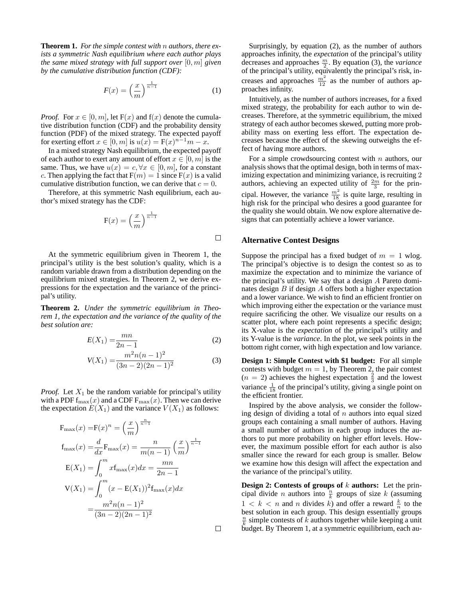**Theorem 1.** *For the simple contest with* n *authors, there exists a symmetric Nash equilibrium where each author plays the same mixed strategy with full support over* [0, m] *given by the cumulative distribution function (CDF):*

$$
F(x) = \left(\frac{x}{m}\right)^{\frac{1}{n-1}}\tag{1}
$$

*Proof.* For  $x \in [0, m]$ , let  $F(x)$  and  $f(x)$  denote the cumulative distribution function (CDF) and the probability density function (PDF) of the mixed strategy. The expected payoff for exerting effort  $x \in [0, m]$  is  $u(x) = F(x)^{n-1}m - x$ .

In a mixed strategy Nash equilibrium, the expected payoff of each author to exert any amount of effort  $x \in [0, m]$  is the same. Thus, we have  $u(x) = c, \forall x \in [0, m]$ , for a constant c. Then applying the fact that  $F(m) = 1$  since  $F(x)$  is a valid cumulative distribution function, we can derive that  $c = 0$ .

Therefore, at this symmetric Nash equilibrium, each author's mixed strategy has the CDF:

$$
F(x) = \left(\frac{x}{m}\right)^{\frac{1}{n-1}}
$$

At the symmetric equilibrium given in Theorem 1, the principal's utility is the best solution's quality, which is a random variable drawn from a distribution depending on the equilibrium mixed strategies. In Theorem 2, we derive expressions for the expectation and the variance of the principal's utility.

**Theorem 2.** *Under the symmetric equilibrium in Theorem 1, the expectation and the variance of the quality of the best solution are:*

$$
E(X_1) = \frac{mn}{2n - 1} \tag{2}
$$

$$
V(X_1) = \frac{m^2 n(n-1)^2}{(3n-2)(2n-1)^2}
$$
 (3)

*Proof.* Let  $X_1$  be the random variable for principal's utility with a PDF  $f_{\text{max}}(x)$  and a CDF  $F_{\text{max}}(x)$ . Then we can derive the expectation  $E(X_1)$  and the variance  $V(X_1)$  as follows:

$$
F_{\max}(x) = F(x)^n = \left(\frac{x}{m}\right)^{\frac{n}{n-1}}
$$
  
\n
$$
f_{\max}(x) = \frac{d}{dx} F_{\max}(x) = \frac{n}{m(n-1)} \left(\frac{x}{m}\right)^{\frac{1}{n-1}}
$$
  
\n
$$
E(X_1) = \int_0^m x f_{\max}(x) dx = \frac{mn}{2n-1}
$$
  
\n
$$
V(X_1) = \int_0^m (x - E(X_1))^2 f_{\max}(x) dx
$$
  
\n
$$
= \frac{m^2 n(n-1)^2}{(3n-2)(2n-1)^2}
$$

Surprisingly, by equation (2), as the number of authors approaches infinity, the *expectation* of the principal's utility decreases and approaches  $\frac{m}{2}$ . By equation (3), the *variance* of the principal's utility, equivalently the principal's risk, increases and approaches  $\frac{m^2}{12}$  as the number of authors approaches infinity.

Intuitively, as the number of authors increases, for a fixed mixed strategy, the probability for each author to win decreases. Therefore, at the symmetric equilibrium, the mixed strategy of each author becomes skewed, putting more probability mass on exerting less effort. The expectation decreases because the effect of the skewing outweighs the effect of having more authors.

For a simple crowdsourcing contest with  $n$  authors, our analysis shows that the optimal design, both in terms of maximizing expectation and minimizing variance, is recruiting 2 authors, achieving an expected utility of  $\frac{2m}{3}$  for the principal. However, the variance  $\frac{m^2}{18}$  is quite large, resulting in high risk for the principal who desires a good guarantee for the quality she would obtain. We now explore alternative designs that can potentially achieve a lower variance.

#### **Alternative Contest Designs**

Suppose the principal has a fixed budget of  $m = 1$  wlog. The principal's objective is to design the contest so as to maximize the expectation and to minimize the variance of the principal's utility. We say that a design A Pareto dominates design  $B$  if design  $A$  offers both a higher expectation and a lower variance. We wish to find an efficient frontier on which improving either the expectation or the variance must require sacrificing the other. We visualize our results on a scatter plot, where each point represents a specific design; its X-value is the *expectation* of the principal's utility and its Y-value is the *variance*. In the plot, we seek points in the bottom right corner, with high expectation and low variance.

**Design 1: Simple Contest with \$1 budget:** For all simple contests with budget  $m = 1$ , by Theorem 2, the pair contest  $(n = 2)$  achieves the highest expectation  $\frac{2}{3}$  and the lowest variance  $\frac{1}{18}$  of the principal's utility, giving a single point on the efficient frontier.

Inspired by the above analysis, we consider the following design of dividing a total of  $n$  authors into equal sized groups each containing a small number of authors. Having a small number of authors in each group induces the authors to put more probability on higher effort levels. However, the maximum possible effort for each author is also smaller since the reward for each group is smaller. Below we examine how this design will affect the expectation and the variance of the principal's utility.

**Design 2: Contests of groups of** k **authors:** Let the principal divide *n* authors into  $\frac{n}{k}$  groups of size *k* (assuming  $1 < k < n$  and n divides k) and offer a reward  $\frac{k}{n}$  to the best solution in each group. This design essentially groups  $\frac{n}{k}$  simple contests of k authors together while keeping a unit budget. By Theorem 1, at a symmetric equilibrium, each au-

 $\Box$ 

 $\Box$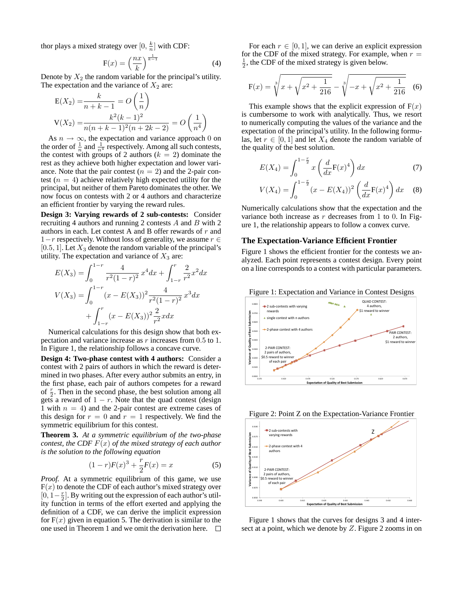thor plays a mixed strategy over  $[0, \frac{k}{n}]$  with CDF:

$$
F(x) = \left(\frac{nx}{k}\right)^{\frac{1}{k-1}}\tag{4}
$$

Denote by  $X_2$  the random variable for the principal's utility. The expectation and the variance of  $X_2$  are:

$$
E(X_2) = \frac{k}{n+k-1} = O\left(\frac{1}{n}\right)
$$
  

$$
V(X_2) = \frac{k^2(k-1)^2}{n(n+k-1)^2(n+2k-2)} = O\left(\frac{1}{n^4}\right)
$$

As  $n \to \infty$ , the expectation and variance approach 0 on the order of  $\frac{1}{n}$  and  $\frac{1}{n^4}$  respectively. Among all such contests, the contest with groups of 2 authors  $(k = 2)$  dominate the rest as they achieve both higher expectation and lower variance. Note that the pair contest  $(n = 2)$  and the 2-pair contest ( $n = 4$ ) achieve relatively high expected utility for the principal, but neither of them Pareto dominates the other. We now focus on contests with 2 or 4 authors and characterize an efficient frontier by varying the reward rules.

**Design 3: Varying rewards of 2 sub-contests:** Consider recruiting 4 authors and running 2 contests A and B with 2 authors in each. Let contest A and B offer rewards of r and  $1-r$  respectively. Without loss of generality, we assume  $r \in$ [0.5, 1]. Let  $X_3$  denote the random variable of the principal's utility. The expectation and variance of  $X_3$  are:

$$
E(X_3) = \int_0^{1-r} \frac{4}{r^2(1-r)^2} x^4 dx + \int_{1-r}^r \frac{2}{r^2} x^2 dx
$$
  

$$
V(X_3) = \int_0^{1-r} (x - E(X_3))^2 \frac{4}{r^2(1-r)^2} x^3 dx
$$
  

$$
+ \int_{1-r}^r (x - E(X_3))^2 \frac{2}{r^2} x dx
$$

Numerical calculations for this design show that both expectation and variance increase as  $r$  increases from  $0.5$  to  $1$ . In Figure 1, the relationship follows a concave curve.

**Design 4: Two-phase contest with 4 authors:** Consider a contest with 2 pairs of authors in which the reward is determined in two phases. After every author submits an entry, in the first phase, each pair of authors competes for a reward of  $\frac{r}{2}$ . Then in the second phase, the best solution among all gets a reward of  $1 - r$ . Note that the quad contest (design 1 with  $n = 4$ ) and the 2-pair contest are extreme cases of this design for  $r = 0$  and  $r = 1$  respectively. We find the symmetric equilibrium for this contest.

**Theorem 3.** *At a symmetric equilibrium of the two-phase contest, the CDF* F(x) *of the mixed strategy of each author is the solution to the following equation*

$$
(1 - r)F(x)^3 + \frac{r}{2}F(x) = x \tag{5}
$$

*Proof.* At a symmetric equilibrium of this game, we use  $F(x)$  to denote the CDF of each author's mixed strategy over  $[0, 1-\frac{r}{2}]$ . By writing out the expression of each author's utility function in terms of the effort exerted and applying the definition of a CDF, we can derive the implicit expression for  $F(x)$  given in equation 5. The derivation is similar to the one used in Theorem 1 and we omit the derivation here.  $\Box$ 

For each  $r \in [0, 1]$ , we can derive an explicit expression for the CDF of the mixed strategy. For example, when  $r =$  $\frac{1}{2}$ , the CDF of the mixed strategy is given below.

$$
F(x) = \sqrt[3]{x + \sqrt{x^2 + \frac{1}{216}}} - \sqrt[3]{-x + \sqrt{x^2 + \frac{1}{216}}}
$$
 (6)

This example shows that the explicit expression of  $F(x)$ is cumbersome to work with analytically. Thus, we resort to numerically computing the values of the variance and the expectation of the principal's utility. In the following formulas, let  $r \in [0, 1]$  and let  $X_4$  denote the random variable of the quality of the best solution.

$$
E(X_4) = \int_0^{1 - \frac{r}{2}} x \left( \frac{d}{dx} F(x)^4 \right) dx
$$
 (7)

$$
V(X_4) = \int_0^{1-\frac{r}{2}} (x - E(X_4))^2 \left(\frac{d}{dx} F(x)^4\right) dx \quad (8)
$$

Numerically calculations show that the expectation and the variance both increase as  $r$  decreases from 1 to 0. In Figure 1, the relationship appears to follow a convex curve.

#### **The Expectation-Variance Efficient Frontier**

Figure 1 shows the efficient frontier for the contests we analyzed. Each point represents a contest design. Every point on a line corresponds to a contest with particular parameters.





Figure 2: Point Z on the Expectation-Variance Frontier



Figure 1 shows that the curves for designs 3 and 4 intersect at a point, which we denote by Z. Figure 2 zooms in on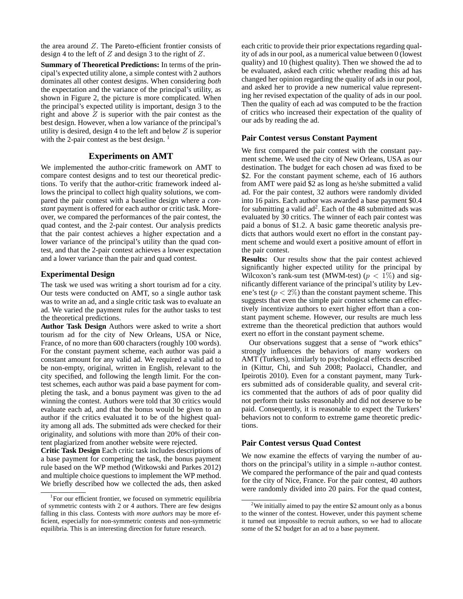the area around Z. The Pareto-efficient frontier consists of design 4 to the left of Z and design 3 to the right of Z.

**Summary of Theoretical Predictions:** In terms of the principal's expected utility alone, a simple contest with 2 authors dominates all other contest designs. When considering *both* the expectation and the variance of the principal's utility, as shown in Figure 2, the picture is more complicated. When the principal's expected utility is important, design 3 to the right and above  $Z$  is superior with the pair contest as the best design. However, when a low variance of the principal's utility is desired, design 4 to the left and below  $Z$  is superior with the 2-pair contest as the best design.  $<sup>1</sup>$ </sup>

## **Experiments on AMT**

We implemented the author-critic framework on AMT to compare contest designs and to test our theoretical predictions. To verify that the author-critic framework indeed allows the principal to collect high quality solutions, we compared the pair contest with a baseline design where a *constant* payment is offered for each author or critic task. Moreover, we compared the performances of the pair contest, the quad contest, and the 2-pair contest. Our analysis predicts that the pair contest achieves a higher expectation and a lower variance of the principal's utility than the quad contest, and that the 2-pair contest achieves a lower expectation and a lower variance than the pair and quad contest.

#### **Experimental Design**

The task we used was writing a short tourism ad for a city. Our tests were conducted on AMT, so a single author task was to write an ad, and a single critic task was to evaluate an ad. We varied the payment rules for the author tasks to test the theoretical predictions.

**Author Task Design** Authors were asked to write a short tourism ad for the city of New Orleans, USA or Nice, France, of no more than 600 characters (roughly 100 words). For the constant payment scheme, each author was paid a constant amount for any valid ad. We required a valid ad to be non-empty, original, written in English, relevant to the city specified, and following the length limit. For the contest schemes, each author was paid a base payment for completing the task, and a bonus payment was given to the ad winning the contest. Authors were told that 30 critics would evaluate each ad, and that the bonus would be given to an author if the critics evaluated it to be of the highest quality among all ads. The submitted ads were checked for their originality, and solutions with more than 20% of their content plagiarized from another website were rejected.

**Critic Task Design** Each critic task includes descriptions of a base payment for competing the task, the bonus payment rule based on the WP method (Witkowski and Parkes 2012) and multiple choice questions to implement the WP method. We briefly described how we collected the ads, then asked

each critic to provide their prior expectations regarding quality of ads in our pool, as a numerical value between 0 (lowest quality) and 10 (highest quality). Then we showed the ad to be evaluated, asked each critic whether reading this ad has changed her opinion regarding the quality of ads in our pool, and asked her to provide a new numerical value representing her revised expectation of the quality of ads in our pool. Then the quality of each ad was computed to be the fraction of critics who increased their expectation of the quality of our ads by reading the ad.

## **Pair Contest versus Constant Payment**

We first compared the pair contest with the constant payment scheme. We used the city of New Orleans, USA as our destination. The budget for each chosen ad was fixed to be \$2. For the constant payment scheme, each of 16 authors from AMT were paid \$2 as long as he/she submitted a valid ad. For the pair contest, 32 authors were randomly divided into 16 pairs. Each author was awarded a base payment \$0.4 for submitting a valid  $ad^2$ . Each of the 48 submitted ads was evaluated by 30 critics. The winner of each pair contest was paid a bonus of \$1.2. A basic game theoretic analysis predicts that authors would exert no effort in the constant payment scheme and would exert a positive amount of effort in the pair contest.

**Results:** Our results show that the pair contest achieved significantly higher expected utility for the principal by Wilcoxon's rank-sum test (MWM-test) ( $p < 1\%$ ) and significantly different variance of the principal's utility by Levene's test ( $p < 2\%$ ) than the constant payment scheme. This suggests that even the simple pair contest scheme can effectively incentivize authors to exert higher effort than a constant payment scheme. However, our results are much less extreme than the theoretical prediction that authors would exert no effort in the constant payment scheme.

Our observations suggest that a sense of "work ethics" strongly influences the behaviors of many workers on AMT (Turkers), similarly to psychological effects described in (Kittur, Chi, and Suh 2008; Paolacci, Chandler, and Ipeirotis 2010). Even for a constant payment, many Turkers submitted ads of considerable quality, and several critics commented that the authors of ads of poor quality did not perform their tasks reasonably and did not deserve to be paid. Consequently, it is reasonable to expect the Turkers' behaviors not to conform to extreme game theoretic predictions.

## **Pair Contest versus Quad Contest**

We now examine the effects of varying the number of authors on the principal's utility in a simple  $n$ -author contest. We compared the performance of the pair and quad contests for the city of Nice, France. For the pair contest, 40 authors were randomly divided into 20 pairs. For the quad contest,

<sup>&</sup>lt;sup>1</sup>For our efficient frontier, we focused on symmetric equilibria of symmetric contests with 2 or 4 authors. There are few designs falling in this class. Contests with *more authors* may be more efficient, especially for non-symmetric contests and non-symmetric equilibria. This is an interesting direction for future research.

 $2$ We initially aimed to pay the entire \$2 amount only as a bonus to the winner of the contest. However, under this payment scheme it turned out impossible to recruit authors, so we had to allocate some of the \$2 budget for an ad to a base payment.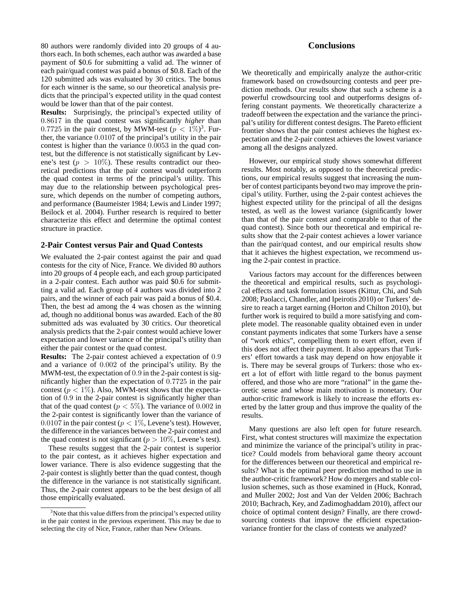80 authors were randomly divided into 20 groups of 4 authors each. In both schemes, each author was awarded a base payment of \$0.6 for submitting a valid ad. The winner of each pair/quad contest was paid a bonus of \$0.8. Each of the 120 submitted ads was evaluated by 30 critics. The bonus for each winner is the same, so our theoretical analysis predicts that the principal's expected utility in the quad contest would be lower than that of the pair contest.

**Results:** Surprisingly, the principal's expected utility of 0.8617 in the quad contest was significantly *higher* than 0.7725 in the pair contest, by MWM-test  $(p < 1\%)^3$ . Further, the variance 0.0107 of the principal's utility in the pair contest is higher than the variance 0.0053 in the quad contest, but the difference is not statistically significant by Levene's test ( $p > 10\%$ ). These results contradict our theoretical predictions that the pair contest would outperform the quad contest in terms of the principal's utility. This may due to the relationship between psychological pressure, which depends on the number of competing authors, and performance (Baumeister 1984; Lewis and Linder 1997; Beilock et al. 2004). Further research is required to better characterize this effect and determine the optimal contest structure in practice.

### **2-Pair Contest versus Pair and Quad Contests**

We evaluated the 2-pair contest against the pair and quad contests for the city of Nice, France. We divided 80 authors into 20 groups of 4 people each, and each group participated in a 2-pair contest. Each author was paid \$0.6 for submitting a valid ad. Each group of 4 authors was divided into 2 pairs, and the winner of each pair was paid a bonus of \$0.4. Then, the best ad among the 4 was chosen as the winning ad, though no additional bonus was awarded. Each of the 80 submitted ads was evaluated by 30 critics. Our theoretical analysis predicts that the 2-pair contest would achieve lower expectation and lower variance of the principal's utility than either the pair contest or the quad contest.

**Results:** The 2-pair contest achieved a expectation of 0.9 and a variance of 0.002 of the principal's utility. By the MWM-test, the expectation of 0.9 in the 2-pair contest is significantly higher than the expectation of 0.7725 in the pair contest ( $p < 1\%$ ). Also, MWM-test shows that the expectation of 0.9 in the 2-pair contest is significantly higher than that of the quad contest ( $p < 5\%$ ). The variance of 0.002 in the 2-pair contest is significantly lower than the variance of 0.0107 in the pair contest ( $p < 1\%$ , Levene's test). However, the difference in the variances between the 2-pair contest and the quad contest is not significant ( $p > 10\%$ , Levene's test).

These results suggest that the 2-pair contest is superior to the pair contest, as it achieves higher expectation and lower variance. There is also evidence suggesting that the 2-pair contest is slightly better than the quad contest, though the difference in the variance is not statistically significant. Thus, the 2-pair contest appears to be the best design of all those empirically evaluated.

## **Conclusions**

We theoretically and empirically analyze the author-critic framework based on crowdsourcing contests and peer prediction methods. Our results show that such a scheme is a powerful crowdsourcing tool and outperforms designs offering constant payments. We theoretically characterize a tradeoff between the expectation and the variance the principal's utility for different contest designs. The Pareto efficient frontier shows that the pair contest achieves the highest expectation and the 2-pair contest achieves the lowest variance among all the designs analyzed.

However, our empirical study shows somewhat different results. Most notably, as opposed to the theoretical predictions, our empirical results suggest that increasing the number of contest participants beyond two may improve the principal's utility. Further, using the 2-pair contest achieves the highest expected utility for the principal of all the designs tested, as well as the lowest variance (significantly lower than that of the pair contest and comparable to that of the quad contest). Since both our theoretical and empirical results show that the 2-pair contest achieves a lower variance than the pair/quad contest, and our empirical results show that it achieves the highest expectation, we recommend using the 2-pair contest in practice.

Various factors may account for the differences between the theoretical and empirical results, such as psychological effects and task formulation issues (Kittur, Chi, and Suh 2008; Paolacci, Chandler, and Ipeirotis 2010) or Turkers' desire to reach a target earning (Horton and Chilton 2010), but further work is required to build a more satisfying and complete model. The reasonable quality obtained even in under constant payments indicates that some Turkers have a sense of "work ethics", compelling them to exert effort, even if this does not affect their payment. It also appears that Turkers' effort towards a task may depend on how enjoyable it is. There may be several groups of Turkers: those who exert a lot of effort with little regard to the bonus payment offered, and those who are more "rational" in the game theoretic sense and whose main motivation is monetary. Our author-critic framework is likely to increase the efforts exerted by the latter group and thus improve the quality of the results.

Many questions are also left open for future research. First, what contest structures will maximize the expectation and minimize the variance of the principal's utility in practice? Could models from behavioral game theory account for the differences between our theoretical and empirical results? What is the optimal peer prediction method to use in the author-critic framework? How do mergers and stable collusion schemes, such as those examined in (Huck, Konrad, and Muller 2002; Jost and Van der Velden 2006; Bachrach 2010; Bachrach, Key, and Zadimoghaddam 2010), affect our choice of optimal content design? Finally, are there crowdsourcing contests that improve the efficient expectationvariance frontier for the class of contests we analyzed?

 $3$ Note that this value differs from the principal's expected utility in the pair contest in the previous experiment. This may be due to selecting the city of Nice, France, rather than New Orleans.